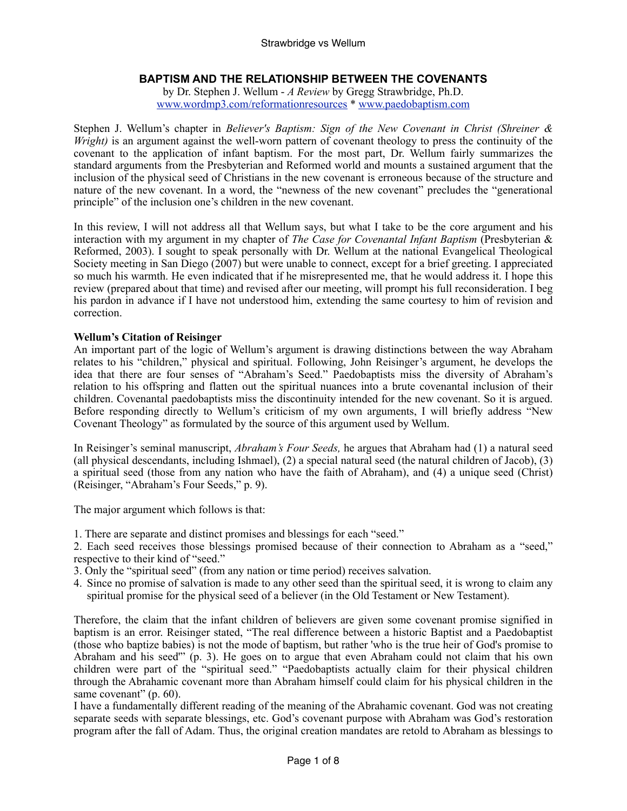# **BAPTISM AND THE RELATIONSHIP BETWEEN THE COVENANTS**

by Dr. Stephen J. Wellum - *A Review* by Gregg Strawbridge, Ph.D. [www.wordmp3.com/reformationresources](http://www.wordmp3.com/reformationresources) \* [www.paedobaptism.com](http://www.paedobaptism.com)

Stephen J. Wellum's chapter in *Believer's Baptism: Sign of the New Covenant in Christ (Shreiner & Wright*) is an argument against the well-worn pattern of covenant theology to press the continuity of the covenant to the application of infant baptism. For the most part, Dr. Wellum fairly summarizes the standard arguments from the Presbyterian and Reformed world and mounts a sustained argument that the inclusion of the physical seed of Christians in the new covenant is erroneous because of the structure and nature of the new covenant. In a word, the "newness of the new covenant" precludes the "generational principle" of the inclusion one's children in the new covenant.

In this review, I will not address all that Wellum says, but what I take to be the core argument and his interaction with my argument in my chapter of *The Case for Covenantal Infant Baptism* (Presbyterian & Reformed, 2003). I sought to speak personally with Dr. Wellum at the national Evangelical Theological Society meeting in San Diego (2007) but were unable to connect, except for a brief greeting. I appreciated so much his warmth. He even indicated that if he misrepresented me, that he would address it. I hope this review (prepared about that time) and revised after our meeting, will prompt his full reconsideration. I beg his pardon in advance if I have not understood him, extending the same courtesy to him of revision and correction.

## **Wellum's Citation of Reisinger**

An important part of the logic of Wellum's argument is drawing distinctions between the way Abraham relates to his "children," physical and spiritual. Following, John Reisinger's argument, he develops the idea that there are four senses of "Abraham's Seed." Paedobaptists miss the diversity of Abraham's relation to his offspring and flatten out the spiritual nuances into a brute covenantal inclusion of their children. Covenantal paedobaptists miss the discontinuity intended for the new covenant. So it is argued. Before responding directly to Wellum's criticism of my own arguments, I will briefly address "New Covenant Theology" as formulated by the source of this argument used by Wellum.

In Reisinger's seminal manuscript, *Abraham's Four Seeds,* he argues that Abraham had (1) a natural seed (all physical descendants, including Ishmael), (2) a special natural seed (the natural children of Jacob), (3) a spiritual seed (those from any nation who have the faith of Abraham), and (4) a unique seed (Christ) (Reisinger, "Abraham's Four Seeds," p. 9).

The major argument which follows is that:

- 1. There are separate and distinct promises and blessings for each "seed."
- 2. Each seed receives those blessings promised because of their connection to Abraham as a "seed," respective to their kind of "seed."
- 3. Only the "spiritual seed" (from any nation or time period) receives salvation.
- 4. Since no promise of salvation is made to any other seed than the spiritual seed, it is wrong to claim any spiritual promise for the physical seed of a believer (in the Old Testament or New Testament).

Therefore, the claim that the infant children of believers are given some covenant promise signified in baptism is an error. Reisinger stated, "The real difference between a historic Baptist and a Paedobaptist (those who baptize babies) is not the mode of baptism, but rather 'who is the true heir of God's promise to Abraham and his seed'" (p. 3). He goes on to argue that even Abraham could not claim that his own children were part of the "spiritual seed." "Paedobaptists actually claim for their physical children through the Abrahamic covenant more than Abraham himself could claim for his physical children in the same covenant" (p. 60).

I have a fundamentally different reading of the meaning of the Abrahamic covenant. God was not creating separate seeds with separate blessings, etc. God's covenant purpose with Abraham was God's restoration program after the fall of Adam. Thus, the original creation mandates are retold to Abraham as blessings to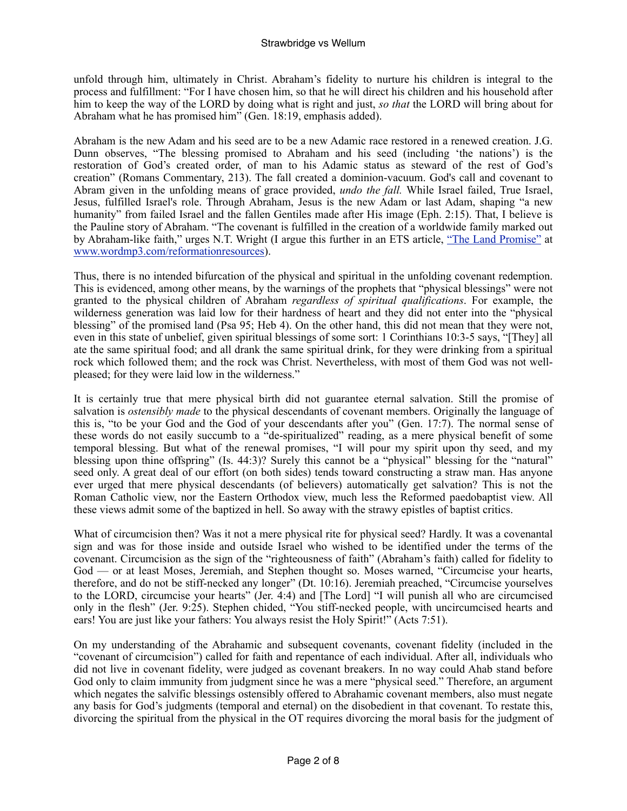unfold through him, ultimately in Christ. Abraham's fidelity to nurture his children is integral to the process and fulfillment: "For I have chosen him, so that he will direct his children and his household after him to keep the way of the LORD by doing what is right and just, *so that* the LORD will bring about for Abraham what he has promised him" (Gen. 18:19, emphasis added).

Abraham is the new Adam and his seed are to be a new Adamic race restored in a renewed creation. J.G. Dunn observes, "The blessing promised to Abraham and his seed (including 'the nations') is the restoration of God's created order, of man to his Adamic status as steward of the rest of God's creation" (Romans Commentary, 213). The fall created a dominion-vacuum. God's call and covenant to Abram given in the unfolding means of grace provided, *undo the fall.* While Israel failed, True Israel, Jesus, fulfilled Israel's role. Through Abraham, Jesus is the new Adam or last Adam, shaping "a new humanity" from failed Israel and the fallen Gentiles made after His image (Eph. 2:15). That, I believe is the Pauline story of Abraham. "The covenant is fulfilled in the creation of a worldwide family marked out by Abraham-like faith," urges N.T. Wright (I argue this further in an ETS article, ["The Land Promise"](http://www.allsaintspresbyterian.com/ETS%202006%20The%20Land%20Promis%20Postmill%20Reading.pdf) at [www.wordmp3.com/reformationresources](http://www.wordmp3.com/reformationresources)).

Thus, there is no intended bifurcation of the physical and spiritual in the unfolding covenant redemption. This is evidenced, among other means, by the warnings of the prophets that "physical blessings" were not granted to the physical children of Abraham *regardless of spiritual qualifications*. For example, the wilderness generation was laid low for their hardness of heart and they did not enter into the "physical blessing" of the promised land (Psa 95; Heb 4). On the other hand, this did not mean that they were not, even in this state of unbelief, given spiritual blessings of some sort: 1 Corinthians 10:3-5 says, "[They] all ate the same spiritual food; and all drank the same spiritual drink, for they were drinking from a spiritual rock which followed them; and the rock was Christ. Nevertheless, with most of them God was not wellpleased; for they were laid low in the wilderness."

It is certainly true that mere physical birth did not guarantee eternal salvation. Still the promise of salvation is *ostensibly made* to the physical descendants of covenant members. Originally the language of this is, "to be your God and the God of your descendants after you" (Gen. 17:7). The normal sense of these words do not easily succumb to a "de-spiritualized" reading, as a mere physical benefit of some temporal blessing. But what of the renewal promises, "I will pour my spirit upon thy seed, and my blessing upon thine offspring" (Is. 44:3)? Surely this cannot be a "physical" blessing for the "natural" seed only. A great deal of our effort (on both sides) tends toward constructing a straw man. Has anyone ever urged that mere physical descendants (of believers) automatically get salvation? This is not the Roman Catholic view, nor the Eastern Orthodox view, much less the Reformed paedobaptist view. All these views admit some of the baptized in hell. So away with the strawy epistles of baptist critics.

What of circumcision then? Was it not a mere physical rite for physical seed? Hardly. It was a covenantal sign and was for those inside and outside Israel who wished to be identified under the terms of the covenant. Circumcision as the sign of the "righteousness of faith" (Abraham's faith) called for fidelity to God — or at least Moses, Jeremiah, and Stephen thought so. Moses warned, "Circumcise your hearts, therefore, and do not be stiff-necked any longer" (Dt. 10:16). Jeremiah preached, "Circumcise yourselves to the LORD, circumcise your hearts" (Jer. 4:4) and [The Lord] "I will punish all who are circumcised only in the flesh" (Jer. 9:25). Stephen chided, "You stiff-necked people, with uncircumcised hearts and ears! You are just like your fathers: You always resist the Holy Spirit!" (Acts 7:51).

On my understanding of the Abrahamic and subsequent covenants, covenant fidelity (included in the "covenant of circumcision") called for faith and repentance of each individual. After all, individuals who did not live in covenant fidelity, were judged as covenant breakers. In no way could Ahab stand before God only to claim immunity from judgment since he was a mere "physical seed." Therefore, an argument which negates the salvific blessings ostensibly offered to Abrahamic covenant members, also must negate any basis for God's judgments (temporal and eternal) on the disobedient in that covenant. To restate this, divorcing the spiritual from the physical in the OT requires divorcing the moral basis for the judgment of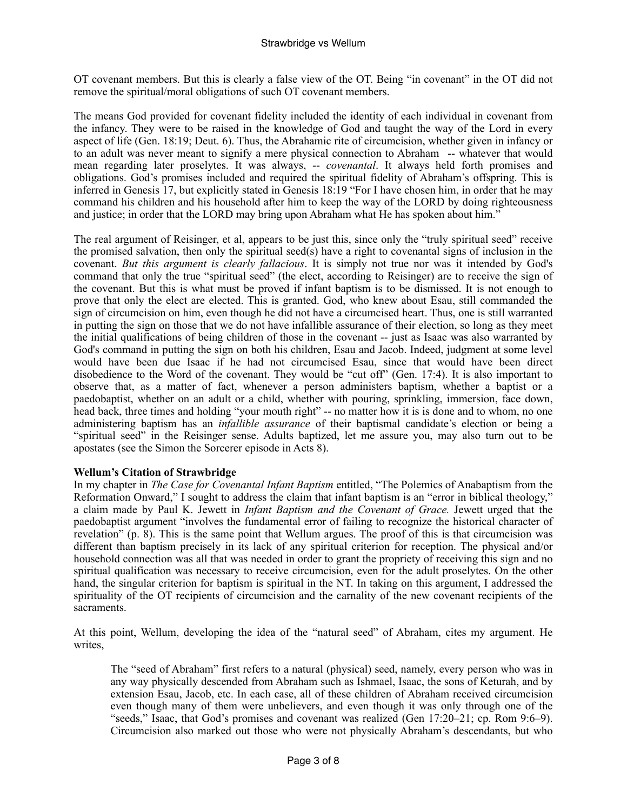OT covenant members. But this is clearly a false view of the OT. Being "in covenant" in the OT did not remove the spiritual/moral obligations of such OT covenant members.

The means God provided for covenant fidelity included the identity of each individual in covenant from the infancy. They were to be raised in the knowledge of God and taught the way of the Lord in every aspect of life (Gen. 18:19; Deut. 6). Thus, the Abrahamic rite of circumcision, whether given in infancy or to an adult was never meant to signify a mere physical connection to Abraham -- whatever that would mean regarding later proselytes. It was always, -- *covenantal*. It always held forth promises and obligations. God's promises included and required the spiritual fidelity of Abraham's offspring. This is inferred in Genesis 17, but explicitly stated in Genesis 18:19 "For I have chosen him, in order that he may command his children and his household after him to keep the way of the LORD by doing righteousness and justice; in order that the LORD may bring upon Abraham what He has spoken about him."

The real argument of Reisinger, et al, appears to be just this, since only the "truly spiritual seed" receive the promised salvation, then only the spiritual seed(s) have a right to covenantal signs of inclusion in the covenant. *But this argument is clearly fallacious*. It is simply not true nor was it intended by God's command that only the true "spiritual seed" (the elect, according to Reisinger) are to receive the sign of the covenant. But this is what must be proved if infant baptism is to be dismissed. It is not enough to prove that only the elect are elected. This is granted. God, who knew about Esau, still commanded the sign of circumcision on him, even though he did not have a circumcised heart. Thus, one is still warranted in putting the sign on those that we do not have infallible assurance of their election, so long as they meet the initial qualifications of being children of those in the covenant -- just as Isaac was also warranted by God's command in putting the sign on both his children, Esau and Jacob. Indeed, judgment at some level would have been due Isaac if he had not circumcised Esau, since that would have been direct disobedience to the Word of the covenant. They would be "cut off" (Gen. 17:4). It is also important to observe that, as a matter of fact, whenever a person administers baptism, whether a baptist or a paedobaptist, whether on an adult or a child, whether with pouring, sprinkling, immersion, face down, head back, three times and holding "your mouth right" -- no matter how it is is done and to whom, no one administering baptism has an *infallible assurance* of their baptismal candidate's election or being a "spiritual seed" in the Reisinger sense. Adults baptized, let me assure you, may also turn out to be apostates (see the Simon the Sorcerer episode in Acts 8).

## **Wellum's Citation of Strawbridge**

In my chapter in *The Case for Covenantal Infant Baptism* entitled, "The Polemics of Anabaptism from the Reformation Onward," I sought to address the claim that infant baptism is an "error in biblical theology," a claim made by Paul K. Jewett in *Infant Baptism and the Covenant of Grace.* Jewett urged that the paedobaptist argument "involves the fundamental error of failing to recognize the historical character of revelation" (p. 8). This is the same point that Wellum argues. The proof of this is that circumcision was different than baptism precisely in its lack of any spiritual criterion for reception. The physical and/or household connection was all that was needed in order to grant the propriety of receiving this sign and no spiritual qualification was necessary to receive circumcision, even for the adult proselytes. On the other hand, the singular criterion for baptism is spiritual in the NT. In taking on this argument, I addressed the spirituality of the OT recipients of circumcision and the carnality of the new covenant recipients of the sacraments.

At this point, Wellum, developing the idea of the "natural seed" of Abraham, cites my argument. He writes,

The "seed of Abraham" first refers to a natural (physical) seed, namely, every person who was in any way physically descended from Abraham such as Ishmael, Isaac, the sons of Keturah, and by extension Esau, Jacob, etc. In each case, all of these children of Abraham received circumcision even though many of them were unbelievers, and even though it was only through one of the "seeds," Isaac, that God's promises and covenant was realized (Gen 17:20–21; cp. Rom 9:6–9). Circumcision also marked out those who were not physically Abraham's descendants, but who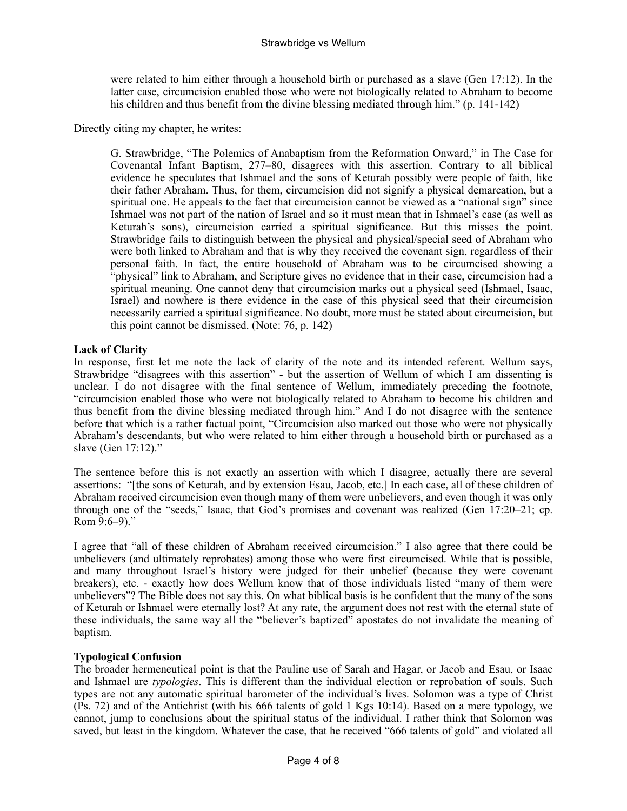were related to him either through a household birth or purchased as a slave (Gen 17:12). In the latter case, circumcision enabled those who were not biologically related to Abraham to become his children and thus benefit from the divine blessing mediated through him." (p. 141-142)

Directly citing my chapter, he writes:

G. Strawbridge, "The Polemics of Anabaptism from the Reformation Onward," in The Case for Covenantal Infant Baptism, 277–80, disagrees with this assertion. Contrary to all biblical evidence he speculates that Ishmael and the sons of Keturah possibly were people of faith, like their father Abraham. Thus, for them, circumcision did not signify a physical demarcation, but a spiritual one. He appeals to the fact that circumcision cannot be viewed as a "national sign" since Ishmael was not part of the nation of Israel and so it must mean that in Ishmael's case (as well as Keturah's sons), circumcision carried a spiritual significance. But this misses the point. Strawbridge fails to distinguish between the physical and physical/special seed of Abraham who were both linked to Abraham and that is why they received the covenant sign, regardless of their personal faith. In fact, the entire household of Abraham was to be circumcised showing a "physical" link to Abraham, and Scripture gives no evidence that in their case, circumcision had a spiritual meaning. One cannot deny that circumcision marks out a physical seed (Ishmael, Isaac, Israel) and nowhere is there evidence in the case of this physical seed that their circumcision necessarily carried a spiritual significance. No doubt, more must be stated about circumcision, but this point cannot be dismissed. (Note: 76, p. 142)

## **Lack of Clarity**

In response, first let me note the lack of clarity of the note and its intended referent. Wellum says, Strawbridge "disagrees with this assertion" - but the assertion of Wellum of which I am dissenting is unclear. I do not disagree with the final sentence of Wellum, immediately preceding the footnote, "circumcision enabled those who were not biologically related to Abraham to become his children and thus benefit from the divine blessing mediated through him." And I do not disagree with the sentence before that which is a rather factual point, "Circumcision also marked out those who were not physically Abraham's descendants, but who were related to him either through a household birth or purchased as a slave (Gen 17:12)."

The sentence before this is not exactly an assertion with which I disagree, actually there are several assertions: "[the sons of Keturah, and by extension Esau, Jacob, etc.] In each case, all of these children of Abraham received circumcision even though many of them were unbelievers, and even though it was only through one of the "seeds," Isaac, that God's promises and covenant was realized (Gen 17:20–21; cp. Rom 9:6–9)."

I agree that "all of these children of Abraham received circumcision." I also agree that there could be unbelievers (and ultimately reprobates) among those who were first circumcised. While that is possible, and many throughout Israel's history were judged for their unbelief (because they were covenant breakers), etc. - exactly how does Wellum know that of those individuals listed "many of them were unbelievers"? The Bible does not say this. On what biblical basis is he confident that the many of the sons of Keturah or Ishmael were eternally lost? At any rate, the argument does not rest with the eternal state of these individuals, the same way all the "believer's baptized" apostates do not invalidate the meaning of baptism.

## **Typological Confusion**

The broader hermeneutical point is that the Pauline use of Sarah and Hagar, or Jacob and Esau, or Isaac and Ishmael are *typologies*. This is different than the individual election or reprobation of souls. Such types are not any automatic spiritual barometer of the individual's lives. Solomon was a type of Christ (Ps. 72) and of the Antichrist (with his 666 talents of gold 1 Kgs 10:14). Based on a mere typology, we cannot, jump to conclusions about the spiritual status of the individual. I rather think that Solomon was saved, but least in the kingdom. Whatever the case, that he received "666 talents of gold" and violated all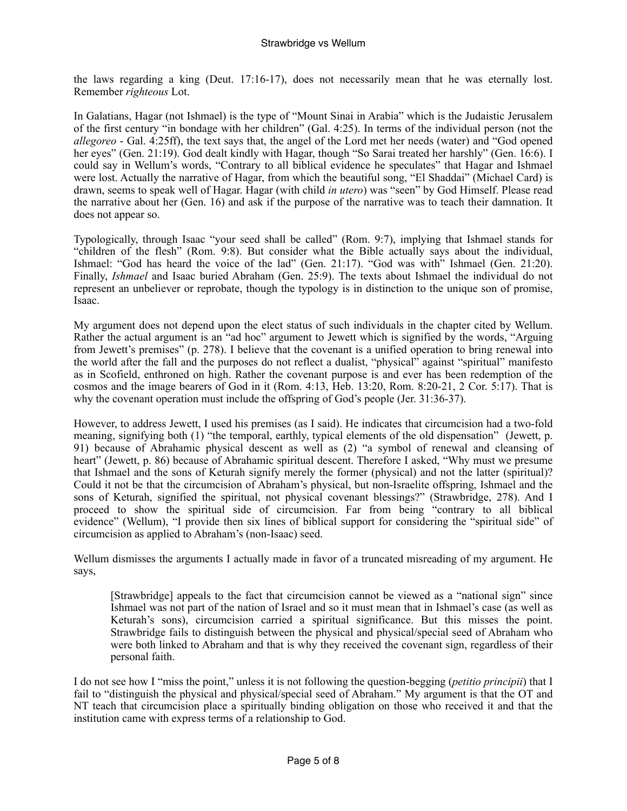the laws regarding a king (Deut. 17:16-17), does not necessarily mean that he was eternally lost. Remember *righteous* Lot.

In Galatians, Hagar (not Ishmael) is the type of "Mount Sinai in Arabia" which is the Judaistic Jerusalem of the first century "in bondage with her children" (Gal. 4:25). In terms of the individual person (not the *allegoreo* - Gal. 4:25ff), the text says that, the angel of the Lord met her needs (water) and "God opened her eyes" (Gen. 21:19). God dealt kindly with Hagar, though "So Sarai treated her harshly" (Gen. 16:6). I could say in Wellum's words, "Contrary to all biblical evidence he speculates" that Hagar and Ishmael were lost. Actually the narrative of Hagar, from which the beautiful song, "El Shaddai" (Michael Card) is drawn, seems to speak well of Hagar. Hagar (with child *in utero*) was "seen" by God Himself. Please read the narrative about her (Gen. 16) and ask if the purpose of the narrative was to teach their damnation. It does not appear so.

Typologically, through Isaac "your seed shall be called" (Rom. 9:7), implying that Ishmael stands for "children of the flesh" (Rom. 9:8). But consider what the Bible actually says about the individual, Ishmael: "God has heard the voice of the lad" (Gen. 21:17). "God was with" Ishmael (Gen. 21:20). Finally, *Ishmael* and Isaac buried Abraham (Gen. 25:9). The texts about Ishmael the individual do not represent an unbeliever or reprobate, though the typology is in distinction to the unique son of promise, Isaac.

My argument does not depend upon the elect status of such individuals in the chapter cited by Wellum. Rather the actual argument is an "ad hoc" argument to Jewett which is signified by the words, "Arguing from Jewett's premises" (p. 278). I believe that the covenant is a unified operation to bring renewal into the world after the fall and the purposes do not reflect a dualist, "physical" against "spiritual" manifesto as in Scofield, enthroned on high. Rather the covenant purpose is and ever has been redemption of the cosmos and the image bearers of God in it (Rom. 4:13, Heb. 13:20, Rom. 8:20-21, 2 Cor. 5:17). That is why the covenant operation must include the offspring of God's people (Jer. 31:36-37).

However, to address Jewett, I used his premises (as I said). He indicates that circumcision had a two-fold meaning, signifying both (1) "the temporal, earthly, typical elements of the old dispensation" (Jewett, p. 91) because of Abrahamic physical descent as well as (2) "a symbol of renewal and cleansing of heart" (Jewett, p. 86) because of Abrahamic spiritual descent. Therefore I asked, "Why must we presume that Ishmael and the sons of Keturah signify merely the former (physical) and not the latter (spiritual)? Could it not be that the circumcision of Abraham's physical, but non-Israelite offspring, Ishmael and the sons of Keturah, signified the spiritual, not physical covenant blessings?" (Strawbridge, 278). And I proceed to show the spiritual side of circumcision. Far from being "contrary to all biblical evidence" (Wellum), "I provide then six lines of biblical support for considering the "spiritual side" of circumcision as applied to Abraham's (non-Isaac) seed.

Wellum dismisses the arguments I actually made in favor of a truncated misreading of my argument. He says,

[Strawbridge] appeals to the fact that circumcision cannot be viewed as a "national sign" since Ishmael was not part of the nation of Israel and so it must mean that in Ishmael's case (as well as Keturah's sons), circumcision carried a spiritual significance. But this misses the point. Strawbridge fails to distinguish between the physical and physical/special seed of Abraham who were both linked to Abraham and that is why they received the covenant sign, regardless of their personal faith.

I do not see how I "miss the point," unless it is not following the question-begging (*petitio principii*) that I fail to "distinguish the physical and physical/special seed of Abraham." My argument is that the OT and NT teach that circumcision place a spiritually binding obligation on those who received it and that the institution came with express terms of a relationship to God.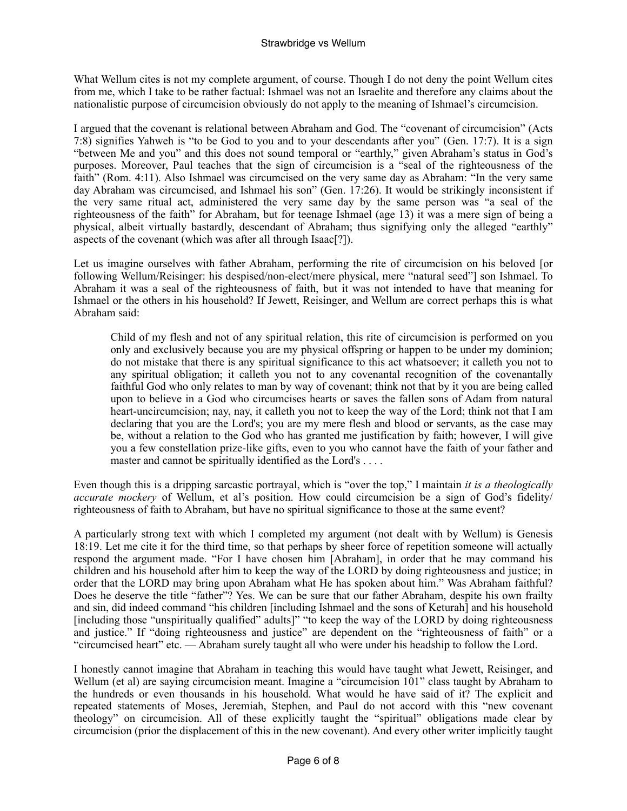What Wellum cites is not my complete argument, of course. Though I do not deny the point Wellum cites from me, which I take to be rather factual: Ishmael was not an Israelite and therefore any claims about the nationalistic purpose of circumcision obviously do not apply to the meaning of Ishmael's circumcision.

I argued that the covenant is relational between Abraham and God. The "covenant of circumcision" (Acts 7:8) signifies Yahweh is "to be God to you and to your descendants after you" (Gen. 17:7). It is a sign "between Me and you" and this does not sound temporal or "earthly," given Abraham's status in God's purposes. Moreover, Paul teaches that the sign of circumcision is a "seal of the righteousness of the faith" (Rom. 4:11). Also Ishmael was circumcised on the very same day as Abraham: "In the very same day Abraham was circumcised, and Ishmael his son" (Gen. 17:26). It would be strikingly inconsistent if the very same ritual act, administered the very same day by the same person was "a seal of the righteousness of the faith" for Abraham, but for teenage Ishmael (age 13) it was a mere sign of being a physical, albeit virtually bastardly, descendant of Abraham; thus signifying only the alleged "earthly" aspects of the covenant (which was after all through Isaac[?]).

Let us imagine ourselves with father Abraham, performing the rite of circumcision on his beloved [or following Wellum/Reisinger: his despised/non-elect/mere physical, mere "natural seed"] son Ishmael. To Abraham it was a seal of the righteousness of faith, but it was not intended to have that meaning for Ishmael or the others in his household? If Jewett, Reisinger, and Wellum are correct perhaps this is what Abraham said:

Child of my flesh and not of any spiritual relation, this rite of circumcision is performed on you only and exclusively because you are my physical offspring or happen to be under my dominion; do not mistake that there is any spiritual significance to this act whatsoever; it calleth you not to any spiritual obligation; it calleth you not to any covenantal recognition of the covenantally faithful God who only relates to man by way of covenant; think not that by it you are being called upon to believe in a God who circumcises hearts or saves the fallen sons of Adam from natural heart-uncircumcision; nay, nay, it calleth you not to keep the way of the Lord; think not that I am declaring that you are the Lord's; you are my mere flesh and blood or servants, as the case may be, without a relation to the God who has granted me justification by faith; however, I will give you a few constellation prize-like gifts, even to you who cannot have the faith of your father and master and cannot be spiritually identified as the Lord's . . . .

Even though this is a dripping sarcastic portrayal, which is "over the top," I maintain *it is a theologically accurate mockery* of Wellum, et al's position. How could circumcision be a sign of God's fidelity/ righteousness of faith to Abraham, but have no spiritual significance to those at the same event?

A particularly strong text with which I completed my argument (not dealt with by Wellum) is Genesis 18:19. Let me cite it for the third time, so that perhaps by sheer force of repetition someone will actually respond the argument made. "For I have chosen him [Abraham], in order that he may command his children and his household after him to keep the way of the LORD by doing righteousness and justice; in order that the LORD may bring upon Abraham what He has spoken about him." Was Abraham faithful? Does he deserve the title "father"? Yes. We can be sure that our father Abraham, despite his own frailty and sin, did indeed command "his children [including Ishmael and the sons of Keturah] and his household [including those "unspiritually qualified" adults]" "to keep the way of the LORD by doing righteousness and justice." If "doing righteousness and justice" are dependent on the "righteousness of faith" or a "circumcised heart" etc. — Abraham surely taught all who were under his headship to follow the Lord.

I honestly cannot imagine that Abraham in teaching this would have taught what Jewett, Reisinger, and Wellum (et al) are saying circumcision meant. Imagine a "circumcision 101" class taught by Abraham to the hundreds or even thousands in his household. What would he have said of it? The explicit and repeated statements of Moses, Jeremiah, Stephen, and Paul do not accord with this "new covenant theology" on circumcision. All of these explicitly taught the "spiritual" obligations made clear by circumcision (prior the displacement of this in the new covenant). And every other writer implicitly taught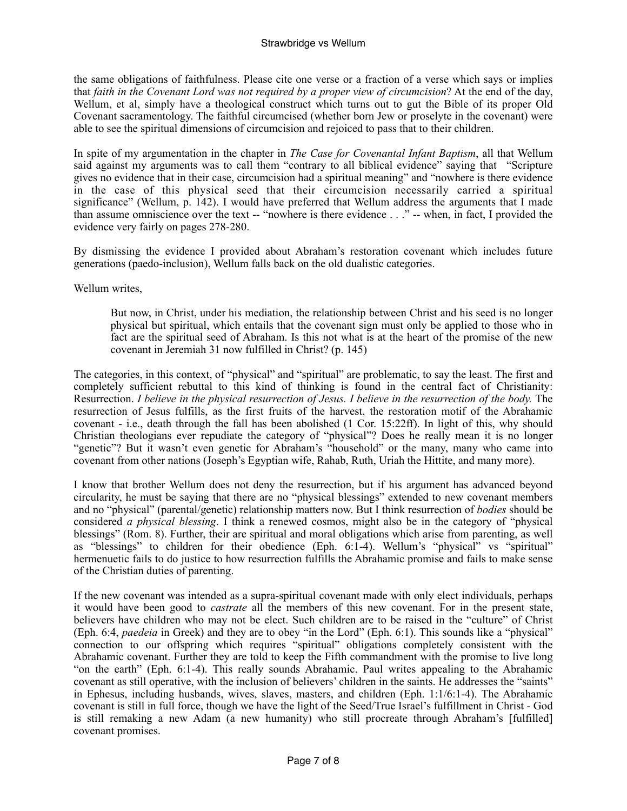the same obligations of faithfulness. Please cite one verse or a fraction of a verse which says or implies that *faith in the Covenant Lord was not required by a proper view of circumcision*? At the end of the day, Wellum, et al, simply have a theological construct which turns out to gut the Bible of its proper Old Covenant sacramentology. The faithful circumcised (whether born Jew or proselyte in the covenant) were able to see the spiritual dimensions of circumcision and rejoiced to pass that to their children.

In spite of my argumentation in the chapter in *The Case for Covenantal Infant Baptism*, all that Wellum said against my arguments was to call them "contrary to all biblical evidence" saying that "Scripture gives no evidence that in their case, circumcision had a spiritual meaning" and "nowhere is there evidence in the case of this physical seed that their circumcision necessarily carried a spiritual significance" (Wellum, p. 142). I would have preferred that Wellum address the arguments that I made than assume omniscience over the text -- "nowhere is there evidence . . ." -- when, in fact, I provided the evidence very fairly on pages 278-280.

By dismissing the evidence I provided about Abraham's restoration covenant which includes future generations (paedo-inclusion), Wellum falls back on the old dualistic categories.

Wellum writes,

But now, in Christ, under his mediation, the relationship between Christ and his seed is no longer physical but spiritual, which entails that the covenant sign must only be applied to those who in fact are the spiritual seed of Abraham. Is this not what is at the heart of the promise of the new covenant in Jeremiah 31 now fulfilled in Christ? (p. 145)

The categories, in this context, of "physical" and "spiritual" are problematic, to say the least. The first and completely sufficient rebuttal to this kind of thinking is found in the central fact of Christianity: Resurrection. *I believe in the physical resurrection of Jesus. I believe in the resurrection of the body.* The resurrection of Jesus fulfills, as the first fruits of the harvest, the restoration motif of the Abrahamic covenant - i.e., death through the fall has been abolished (1 Cor. 15:22ff). In light of this, why should Christian theologians ever repudiate the category of "physical"? Does he really mean it is no longer "genetic"? But it wasn't even genetic for Abraham's "household" or the many, many who came into covenant from other nations (Joseph's Egyptian wife, Rahab, Ruth, Uriah the Hittite, and many more).

I know that brother Wellum does not deny the resurrection, but if his argument has advanced beyond circularity, he must be saying that there are no "physical blessings" extended to new covenant members and no "physical" (parental/genetic) relationship matters now. But I think resurrection of *bodies* should be considered *a physical blessing*. I think a renewed cosmos, might also be in the category of "physical blessings" (Rom. 8). Further, their are spiritual and moral obligations which arise from parenting, as well as "blessings" to children for their obedience (Eph. 6:1-4). Wellum's "physical" vs "spiritual" hermenuetic fails to do justice to how resurrection fulfills the Abrahamic promise and fails to make sense of the Christian duties of parenting.

If the new covenant was intended as a supra-spiritual covenant made with only elect individuals, perhaps it would have been good to *castrate* all the members of this new covenant. For in the present state, believers have children who may not be elect. Such children are to be raised in the "culture" of Christ (Eph. 6:4, *paedeia* in Greek) and they are to obey "in the Lord" (Eph. 6:1). This sounds like a "physical" connection to our offspring which requires "spiritual" obligations completely consistent with the Abrahamic covenant. Further they are told to keep the Fifth commandment with the promise to live long "on the earth" (Eph. 6:1-4). This really sounds Abrahamic. Paul writes appealing to the Abrahamic covenant as still operative, with the inclusion of believers' children in the saints. He addresses the "saints" in Ephesus, including husbands, wives, slaves, masters, and children (Eph. 1:1/6:1-4). The Abrahamic covenant is still in full force, though we have the light of the Seed/True Israel's fulfillment in Christ - God is still remaking a new Adam (a new humanity) who still procreate through Abraham's [fulfilled] covenant promises.